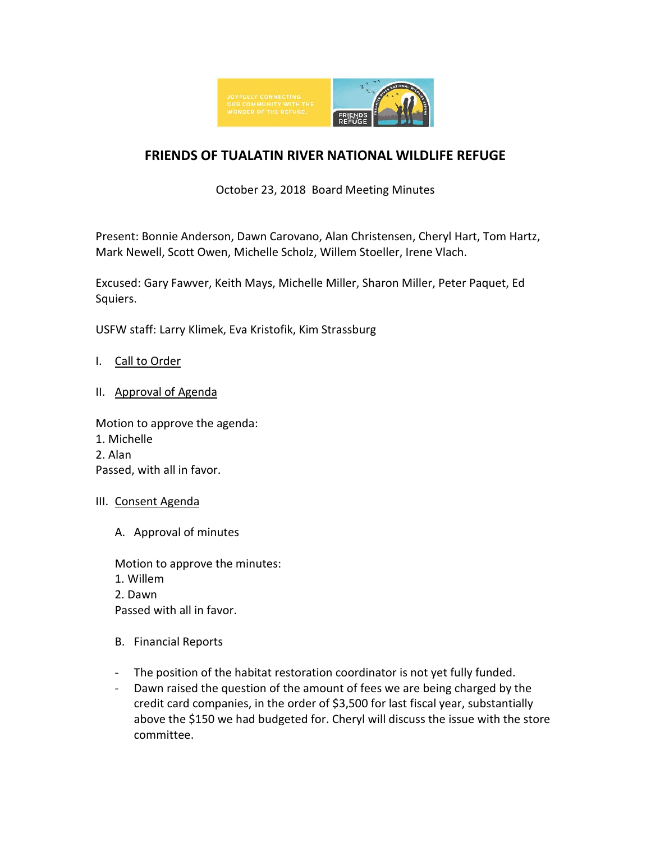

# **FRIENDS OF TUALATIN RIVER NATIONAL WILDLIFE REFUGE**

## October 23, 2018 Board Meeting Minutes

Present: Bonnie Anderson, Dawn Carovano, Alan Christensen, Cheryl Hart, Tom Hartz, Mark Newell, Scott Owen, Michelle Scholz, Willem Stoeller, Irene Vlach.

Excused: Gary Fawver, Keith Mays, Michelle Miller, Sharon Miller, Peter Paquet, Ed Squiers.

USFW staff: Larry Klimek, Eva Kristofik, Kim Strassburg

- I. Call to Order
- II. Approval of Agenda

Motion to approve the agenda:

- 1. Michelle
- 2. Alan

Passed, with all in favor.

- III. Consent Agenda
	- A. Approval of minutes

Motion to approve the minutes: 1. Willem 2. Dawn Passed with all in favor.

- B. Financial Reports
- The position of the habitat restoration coordinator is not yet fully funded.
- Dawn raised the question of the amount of fees we are being charged by the credit card companies, in the order of \$3,500 for last fiscal year, substantially above the \$150 we had budgeted for. Cheryl will discuss the issue with the store committee.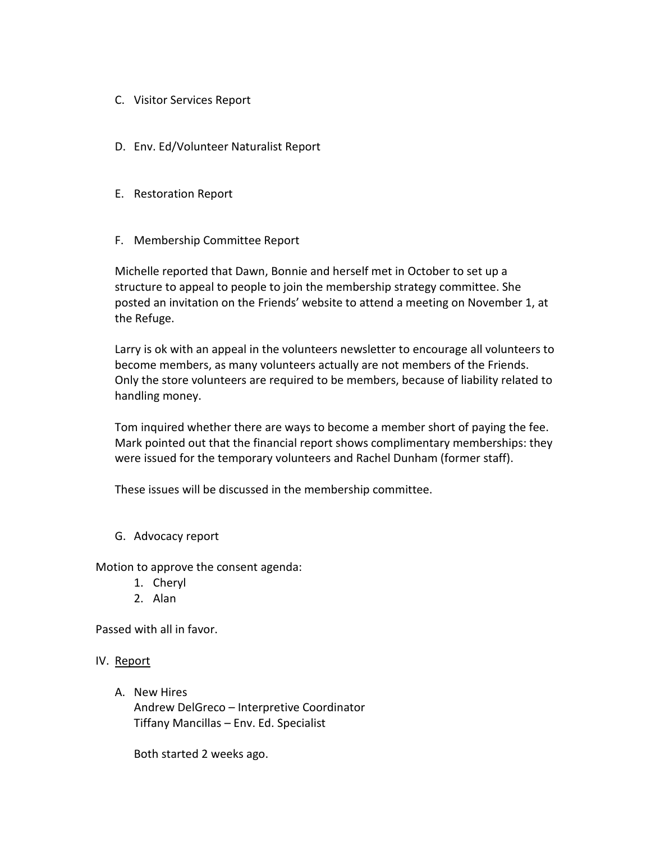- C. Visitor Services Report
- D. Env. Ed/Volunteer Naturalist Report
- E. Restoration Report
- F. Membership Committee Report

Michelle reported that Dawn, Bonnie and herself met in October to set up a structure to appeal to people to join the membership strategy committee. She posted an invitation on the Friends' website to attend a meeting on November 1, at the Refuge.

Larry is ok with an appeal in the volunteers newsletter to encourage all volunteers to become members, as many volunteers actually are not members of the Friends. Only the store volunteers are required to be members, because of liability related to handling money.

Tom inquired whether there are ways to become a member short of paying the fee. Mark pointed out that the financial report shows complimentary memberships: they were issued for the temporary volunteers and Rachel Dunham (former staff).

These issues will be discussed in the membership committee.

G. Advocacy report

Motion to approve the consent agenda:

- 1. Cheryl
- 2. Alan

Passed with all in favor.

#### IV. Report

A. New Hires

Andrew DelGreco – Interpretive Coordinator Tiffany Mancillas – Env. Ed. Specialist

Both started 2 weeks ago.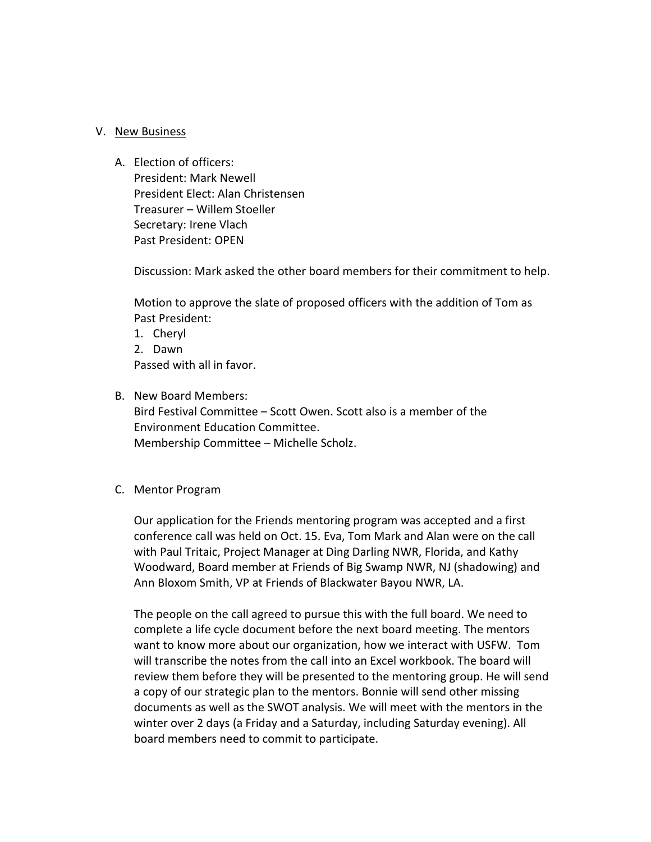#### V. New Business

A. Election of officers: President: Mark Newell President Elect: Alan Christensen Treasurer – Willem Stoeller Secretary: Irene Vlach Past President: OPEN

Discussion: Mark asked the other board members for their commitment to help.

Motion to approve the slate of proposed officers with the addition of Tom as Past President:

- 1. Cheryl
- 2. Dawn Passed with all in favor.
- B. New Board Members: Bird Festival Committee – Scott Owen. Scott also is a member of the Environment Education Committee.

Membership Committee – Michelle Scholz.

#### C. Mentor Program

Our application for the Friends mentoring program was accepted and a first conference call was held on Oct. 15. Eva, Tom Mark and Alan were on the call with Paul Tritaic, Project Manager at Ding Darling NWR, Florida, and Kathy Woodward, Board member at Friends of Big Swamp NWR, NJ (shadowing) and Ann Bloxom Smith, VP at Friends of Blackwater Bayou NWR, LA.

The people on the call agreed to pursue this with the full board. We need to complete a life cycle document before the next board meeting. The mentors want to know more about our organization, how we interact with USFW. Tom will transcribe the notes from the call into an Excel workbook. The board will review them before they will be presented to the mentoring group. He will send a copy of our strategic plan to the mentors. Bonnie will send other missing documents as well as the SWOT analysis. We will meet with the mentors in the winter over 2 days (a Friday and a Saturday, including Saturday evening). All board members need to commit to participate.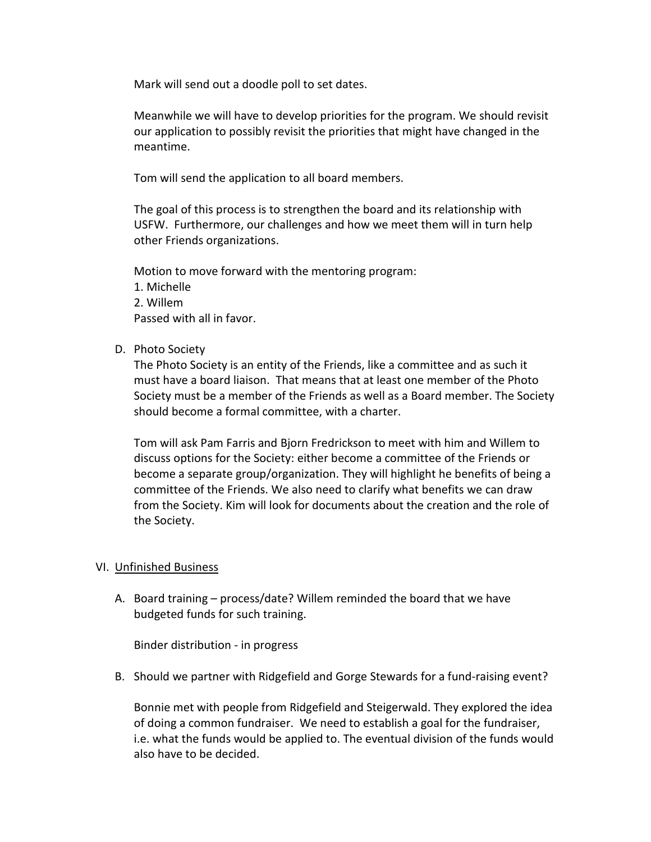Mark will send out a doodle poll to set dates.

Meanwhile we will have to develop priorities for the program. We should revisit our application to possibly revisit the priorities that might have changed in the meantime.

Tom will send the application to all board members.

The goal of this process is to strengthen the board and its relationship with USFW. Furthermore, our challenges and how we meet them will in turn help other Friends organizations.

Motion to move forward with the mentoring program:

- 1. Michelle 2. Willem Passed with all in favor.
- D. Photo Society

The Photo Society is an entity of the Friends, like a committee and as such it must have a board liaison. That means that at least one member of the Photo Society must be a member of the Friends as well as a Board member. The Society should become a formal committee, with a charter.

Tom will ask Pam Farris and Bjorn Fredrickson to meet with him and Willem to discuss options for the Society: either become a committee of the Friends or become a separate group/organization. They will highlight he benefits of being a committee of the Friends. We also need to clarify what benefits we can draw from the Society. Kim will look for documents about the creation and the role of the Society.

### VI. Unfinished Business

A. Board training – process/date? Willem reminded the board that we have budgeted funds for such training.

Binder distribution - in progress

B. Should we partner with Ridgefield and Gorge Stewards for a fund-raising event?

Bonnie met with people from Ridgefield and Steigerwald. They explored the idea of doing a common fundraiser. We need to establish a goal for the fundraiser, i.e. what the funds would be applied to. The eventual division of the funds would also have to be decided.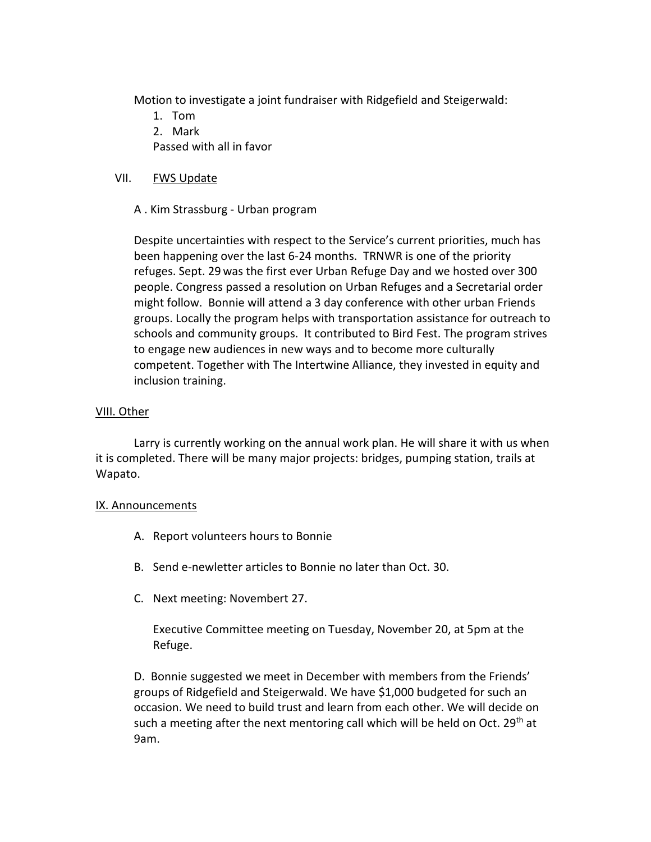Motion to investigate a joint fundraiser with Ridgefield and Steigerwald:

- 1. Tom
- 2. Mark

Passed with all in favor

## VII. FWS Update

A . Kim Strassburg - Urban program

Despite uncertainties with respect to the Service's current priorities, much has been happening over the last 6-24 months. TRNWR is one of the priority refuges. Sept. 29 was the first ever Urban Refuge Day and we hosted over 300 people. Congress passed a resolution on Urban Refuges and a Secretarial order might follow. Bonnie will attend a 3 day conference with other urban Friends groups. Locally the program helps with transportation assistance for outreach to schools and community groups. It contributed to Bird Fest. The program strives to engage new audiences in new ways and to become more culturally competent. Together with The Intertwine Alliance, they invested in equity and inclusion training.

### VIII. Other

Larry is currently working on the annual work plan. He will share it with us when it is completed. There will be many major projects: bridges, pumping station, trails at Wapato.

### IX. Announcements

- A. Report volunteers hours to Bonnie
- B. Send e-newletter articles to Bonnie no later than Oct. 30.
- C. Next meeting: Novembert 27.

Executive Committee meeting on Tuesday, November 20, at 5pm at the Refuge.

D. Bonnie suggested we meet in December with members from the Friends' groups of Ridgefield and Steigerwald. We have \$1,000 budgeted for such an occasion. We need to build trust and learn from each other. We will decide on such a meeting after the next mentoring call which will be held on Oct. 29<sup>th</sup> at 9am.